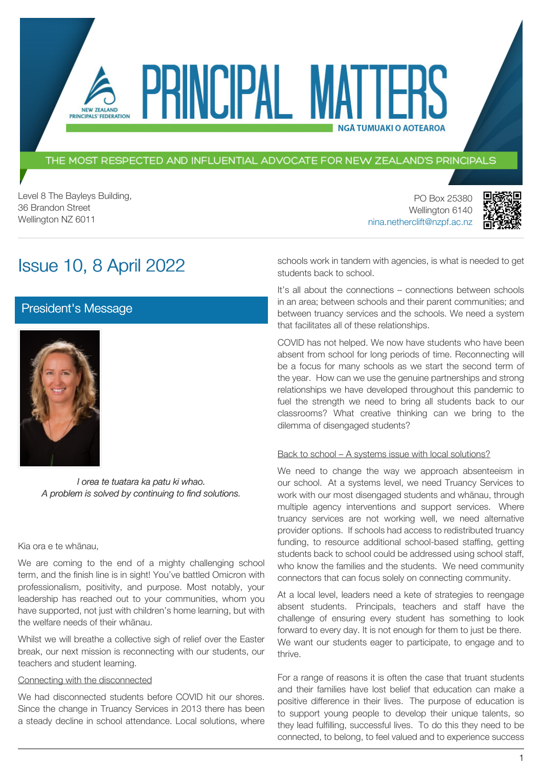### THE MOST RESPECTED AND INFLUENTIAL ADVOCATE FOR NEW ZEALAND'S PRINCIPALS

PRINCIPAL MATT

Level 8 The Bayleys Building, 36 Brandon Street Wellington NZ 6011

PO Box 25380 Wellington 6140 [nina.netherclift@nzpf.ac.nz](mailto:mailto:nina.netherclift@nzpf.ac.nz)



# Issue 10, 8 April 2022

PRINCIPALS' FEDERATION

# [President's Message](https://nzpf.schoolzineplus.com/newsletter/article/515?skin=1)



*I orea te tuatara ka patu ki whao. A problem is solved by continuing to find solutions.*

### Kia ora e te whānau,

We are coming to the end of a mighty challenging school term, and the finish line is in sight! You've battled Omicron with professionalism, positivity, and purpose. Most notably, your leadership has reached out to your communities, whom you have supported, not just with children's home learning, but with the welfare needs of their whānau.

Whilst we will breathe a collective sigh of relief over the Easter break, our next mission is reconnecting with our students, our teachers and student learning.

### Connecting with the disconnected

We had disconnected students before COVID hit our shores. Since the change in Truancy Services in 2013 there has been a steady decline in school attendance. Local solutions, where schools work in tandem with agencies, is what is needed to get students back to school.

**NGÅ TUMUAKI O AOTEAROA** 

It's all about the connections – connections between schools in an area; between schools and their parent communities; and between truancy services and the schools. We need a system that facilitates all of these relationships.

COVID has not helped. We now have students who have been absent from school for long periods of time. Reconnecting will be a focus for many schools as we start the second term of the year. How can we use the genuine partnerships and strong relationships we have developed throughout this pandemic to fuel the strength we need to bring all students back to our classrooms? What creative thinking can we bring to the dilemma of disengaged students?

### Back to school – A systems issue with local solutions?

We need to change the way we approach absenteeism in our school. At a systems level, we need Truancy Services to work with our most disengaged students and whānau, through multiple agency interventions and support services. Where truancy services are not working well, we need alternative provider options. If schools had access to redistributed truancy funding, to resource additional school-based staffing, getting students back to school could be addressed using school staff, who know the families and the students. We need community connectors that can focus solely on connecting community.

At a local level, leaders need a kete of strategies to reengage absent students. Principals, teachers and staff have the challenge of ensuring every student has something to look forward to every day. It is not enough for them to just be there. We want our students eager to participate, to engage and to thrive.

For a range of reasons it is often the case that truant students and their families have lost belief that education can make a positive difference in their lives. The purpose of education is to support young people to develop their unique talents, so they lead fulfilling, successful lives. To do this they need to be connected, to belong, to feel valued and to experience success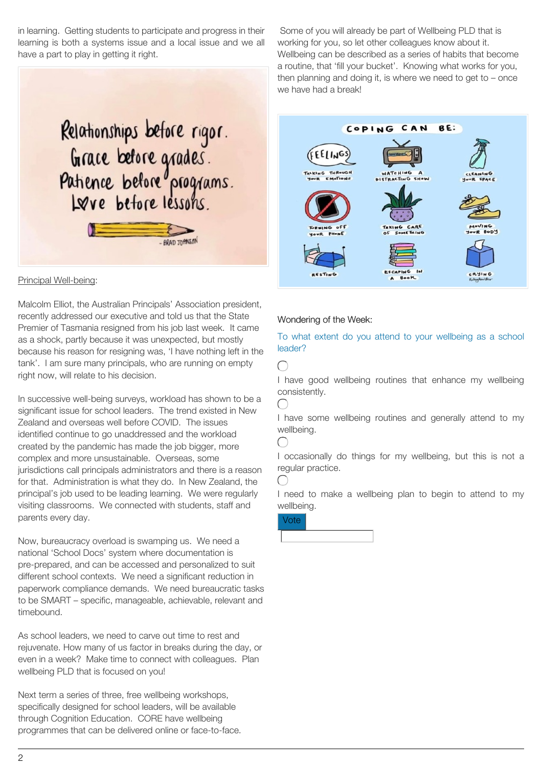in learning. Getting students to participate and progress in their learning is both a systems issue and a local issue and we all have a part to play in getting it right.



### Principal Well-being:

Malcolm Elliot, the Australian Principals' Association president, recently addressed our executive and told us that the State Premier of Tasmania resigned from his job last week. It came as a shock, partly because it was unexpected, but mostly because his reason for resigning was, 'I have nothing left in the tank'. I am sure many principals, who are running on empty right now, will relate to his decision.

In successive well-being surveys, workload has shown to be a significant issue for school leaders. The trend existed in New Zealand and overseas well before COVID. The issues identified continue to go unaddressed and the workload created by the pandemic has made the job bigger, more complex and more unsustainable. Overseas, some jurisdictions call principals administrators and there is a reason for that. Administration is what they do. In New Zealand, the principal's job used to be leading learning. We were regularly visiting classrooms. We connected with students, staff and parents every day.

Now, bureaucracy overload is swamping us. We need a national 'School Docs' system where documentation is pre-prepared, and can be accessed and personalized to suit different school contexts. We need a significant reduction in paperwork compliance demands. We need bureaucratic tasks to be SMART – specific, manageable, achievable, relevant and timebound.

As school leaders, we need to carve out time to rest and rejuvenate. How many of us factor in breaks during the day, or even in a week? Make time to connect with colleagues. Plan wellbeing PLD that is focused on you!

Next term a series of three, free wellbeing workshops, specifically designed for school leaders, will be available through Cognition Education. CORE have wellbeing programmes that can be delivered online or face-to-face.

Some of you will already be part of Wellbeing PLD that is working for you, so let other colleagues know about it. Wellbeing can be described as a series of habits that become a routine, that 'fill your bucket'. Knowing what works for you, then planning and doing it, is where we need to get to  $-$  once we have had a break!



### Wondering of the Week:

### To what extent do you attend to your wellbeing as a school leader?

 $\cap$ 

I have good wellbeing routines that enhance my wellbeing consistently.

 $\bigcap$ 

 $\bigcap$ 

 $\left(\begin{array}{c} \end{array}\right)$ 

I have some wellbeing routines and generally attend to my wellbeing.

I occasionally do things for my wellbeing, but this is not a regular practice.

I need to make a wellbeing plan to begin to attend to my wellbeing.

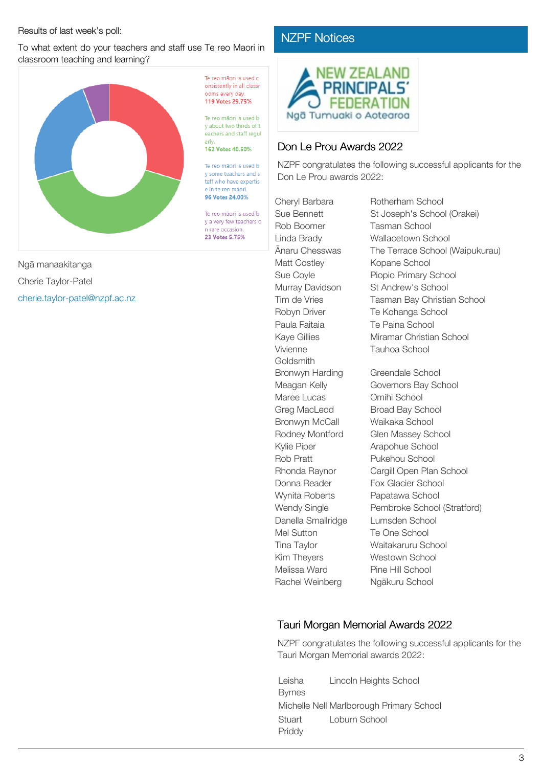### Results of last week's poll:

To what extent do your teachers and staff use Te reo Maori in classroom teaching and learning?



Ngā manaakitanga Cherie Taylor-Patel [cherie.taylor-patel@nzpf.ac.nz](mailto:cherie.taylor-patel@nzpf.ac.nz) Te reo mãori is used c onsistently in all classr noms every day 110 Votes 20 75%

Te reo mãori is used b y about two thirds of t eachers and staff regul

#### 162 Votes 40.50%

Te reo mãori is used b v some teachers and s taff who have expertis e in te reo mãori 96 Votes 24.00%

Te reo mãori is used b v a very few teachers o n rare occasion. 23 Votes 5.75%

# [NZPF Notices](https://nzpf.schoolzineplus.com/newsletter/article/516?skin=1)



# Don Le Prou Awards 2022

NZPF congratulates the following successful applicants for the Don Le Prou awards 2022:

Cheryl Barbara Rotherham School Rob Boomer Tasman School Matt Costley Kopane School Paula Faitaia Te Paina School Vivienne **Goldsmith** Bronwyn Harding Greendale School Maree Lucas Omihi School Greg MacLeod Broad Bay School Bronwyn McCall Waikaka School Kylie Piper **Arapohue School** Rob Pratt Pukehou School Wynita Roberts Papatawa School Danella Smallridge Lumsden School Mel Sutton Te One School Kim Theyers **Westown School** Melissa Ward Pine Hill School Rachel Weinberg Ngākuru School

Sue Bennett St Joseph's School (Orakei) Linda Brady Wallacetown School Ānaru Chesswas The Terrace School (Waipukurau) Sue Coyle Piopio Primary School Murray Davidson St Andrew's School Tim de Vries Tasman Bay Christian School Robyn Driver Te Kohanga School Kaye Gillies Miramar Christian School Tauhoa School Meagan Kelly **Governors Bay School** 

Rodney Montford Glen Massey School Rhonda Raynor Cargill Open Plan School Donna Reader Fox Glacier School Wendy Single Pembroke School (Stratford) Tina Taylor Waitakaruru School

# Tauri Morgan Memorial Awards 2022

NZPF congratulates the following successful applicants for the Tauri Morgan Memorial awards 2022:

Leisha Byrnes Lincoln Heights School Michelle Nell Marlborough Primary School **Stuart** Priddy Loburn School